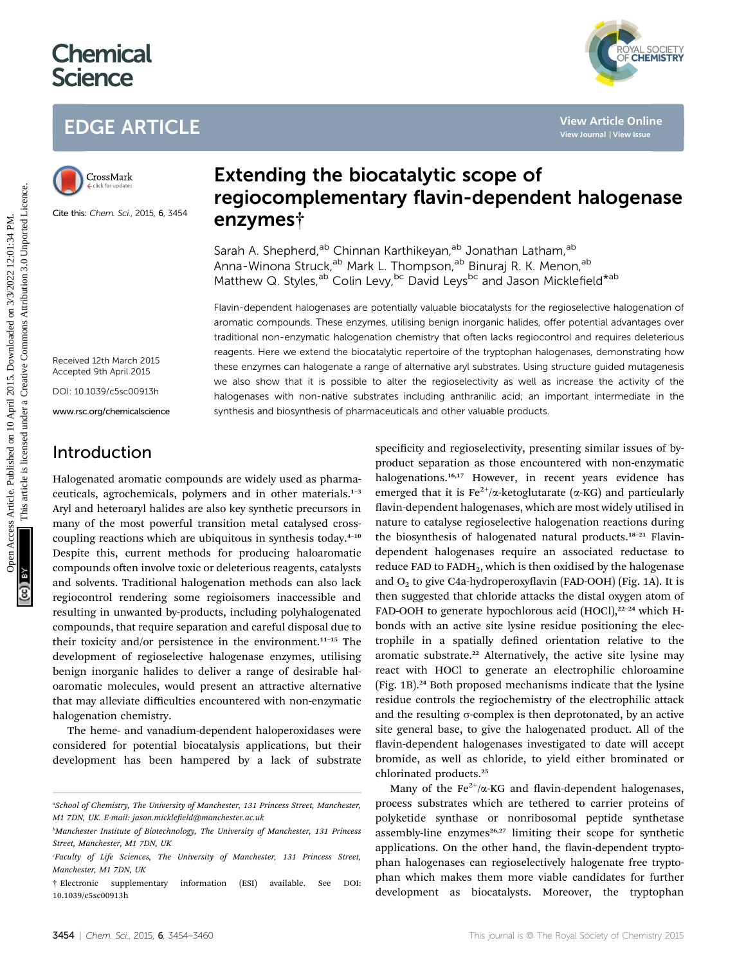# **Chemical Science**

# EDGE ARTICLE



Cite this: Chem. Sci., 2015, <sup>6</sup>, 3454

# Extending the biocatalytic scope of regiocomplementary flavin-dependent halogenase enzymes†

Sarah A. Shepherd,<sup>ab</sup> Chinnan Karthikeyan,<sup>ab</sup> Jonathan Latham,<sup>ab</sup> Anna-Winona Struck,<sup>ab</sup> Mark L. Thompson,<sup>ab</sup> Binuraj R. K. Menon,<sup>ab</sup> Matthew Q. Styles,<sup>ab</sup> Colin Levy,<sup>bc</sup> David Leys<sup>bc</sup> and Jason Micklefield<sup>\*ab</sup>

Flavin-dependent halogenases are potentially valuable biocatalysts for the regioselective halogenation of aromatic compounds. These enzymes, utilising benign inorganic halides, offer potential advantages over traditional non-enzymatic halogenation chemistry that often lacks regiocontrol and requires deleterious reagents. Here we extend the biocatalytic repertoire of the tryptophan halogenases, demonstrating how these enzymes can halogenate a range of alternative aryl substrates. Using structure guided mutagenesis we also show that it is possible to alter the regioselectivity as well as increase the activity of the halogenases with non-native substrates including anthranilic acid; an important intermediate in the synthesis and biosynthesis of pharmaceuticals and other valuable products. EDGE ARTICLE<br>
Crosskink<br>
Extending the biocatalytic scope of<br>
regiocomplementary flavin-dependent halogena<br>
Club this channels, and a set and the material control in the stress of the stress of the stress of the stress of

Received 12th March 2015 Accepted 9th April 2015

DOI: 10.1039/c5sc00913h

www.rsc.org/chemicalscience

## Introduction

Halogenated aromatic compounds are widely used as pharmaceuticals, agrochemicals, polymers and in other materials.<sup>1-3</sup> Aryl and heteroaryl halides are also key synthetic precursors in many of the most powerful transition metal catalysed crosscoupling reactions which are ubiquitous in synthesis today. $4-10$ Despite this, current methods for producing haloaromatic compounds often involve toxic or deleterious reagents, catalysts and solvents. Traditional halogenation methods can also lack regiocontrol rendering some regioisomers inaccessible and resulting in unwanted by-products, including polyhalogenated compounds, that require separation and careful disposal due to their toxicity and/or persistence in the environment.<sup>11-15</sup> The development of regioselective halogenase enzymes, utilising benign inorganic halides to deliver a range of desirable haloaromatic molecules, would present an attractive alternative that may alleviate difficulties encountered with non-enzymatic halogenation chemistry.

The heme- and vanadium-dependent haloperoxidases were considered for potential biocatalysis applications, but their development has been hampered by a lack of substrate

specificity and regioselectivity, presenting similar issues of byproduct separation as those encountered with non-enzymatic halogenations.<sup>16,17</sup> However, in recent years evidence has emerged that it is  $Fe^{2+}/\alpha$ -ketoglutarate ( $\alpha$ -KG) and particularly flavin-dependent halogenases, which are most widely utilised in nature to catalyse regioselective halogenation reactions during the biosynthesis of halogenated natural products.<sup>18-21</sup> Flavindependent halogenases require an associated reductase to reduce FAD to  $FADH<sub>2</sub>$ , which is then oxidised by the halogenase and  $O_2$  to give C4a-hydroperoxyflavin (FAD-OOH) (Fig. 1A). It is then suggested that chloride attacks the distal oxygen atom of FAD-OOH to generate hypochlorous acid (HOCl),<sup>22-24</sup> which Hbonds with an active site lysine residue positioning the electrophile in a spatially defined orientation relative to the aromatic substrate.<sup>22</sup> Alternatively, the active site lysine may react with HOCl to generate an electrophilic chloroamine (Fig. 1B).<sup>24</sup> Both proposed mechanisms indicate that the lysine residue controls the regiochemistry of the electrophilic attack and the resulting  $\sigma$ -complex is then deprotonated, by an active site general base, to give the halogenated product. All of the flavin-dependent halogenases investigated to date will accept bromide, as well as chloride, to yield either brominated or chlorinated products.<sup>25</sup>

Many of the Fe<sup>2+</sup>/ $\alpha$ -KG and flavin-dependent halogenases, process substrates which are tethered to carrier proteins of polyketide synthase or nonribosomal peptide synthetase assembly-line enzymes $26,27$  limiting their scope for synthetic applications. On the other hand, the flavin-dependent tryptophan halogenases can regioselectively halogenate free tryptophan which makes them more viable candidates for further development as biocatalysts. Moreover, the tryptophan



a School of Chemistry, The University of Manchester, 131 Princess Street, Manchester, M1 7DN, UK. E-mail: jason.micklefield@manchester.ac.uk

b Manchester Institute of Biotechnology, The University of Manchester, 131 Princess Street, Manchester, M1 7DN, UK

Faculty of Life Sciences, The University of Manchester, 131 Princess Street, Manchester, M1 7DN, UK

<sup>†</sup> Electronic supplementary information (ESI) available. See DOI: 10.1039/c5sc00913h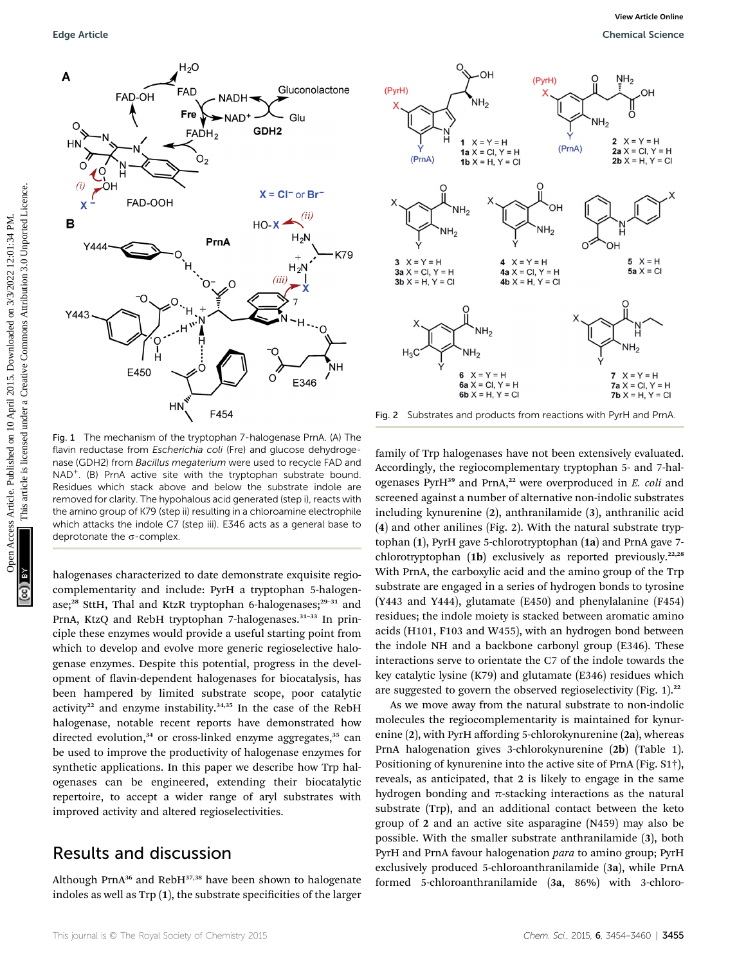



Fig. 2 Substrates and products from reactions with PyrH and PrnA.

Fig. 1 The mechanism of the tryptophan 7-halogenase PrnA. (A) The flavin reductase from Escherichia coli (Fre) and glucose dehydrogenase (GDH2) from Bacillus megaterium were used to recycle FAD and NAD<sup>+</sup>. (B) PrnA active site with the tryptophan substrate bound. Residues which stack above and below the substrate indole are removed for clarity. The hypohalous acid generated (step i), reacts with the amino group of K79 (step ii) resulting in a chloroamine electrophile which attacks the indole C7 (step iii). E346 acts as a general base to deprotonate the  $\sigma$ -complex.

halogenases characterized to date demonstrate exquisite regiocomplementarity and include: PyrH a tryptophan 5-halogenase;<sup>28</sup> SttH, Thal and KtzR tryptophan 6-halogenases;<sup>29-31</sup> and PrnA, KtzQ and RebH tryptophan 7-halogenases.<sup>31-33</sup> In principle these enzymes would provide a useful starting point from which to develop and evolve more generic regioselective halogenase enzymes. Despite this potential, progress in the development of flavin-dependent halogenases for biocatalysis, has been hampered by limited substrate scope, poor catalytic activity<sup>22</sup> and enzyme instability.<sup>34,35</sup> In the case of the RebH halogenase, notable recent reports have demonstrated how directed evolution,<sup>34</sup> or cross-linked enzyme aggregates,<sup>35</sup> can be used to improve the productivity of halogenase enzymes for synthetic applications. In this paper we describe how Trp halogenases can be engineered, extending their biocatalytic repertoire, to accept a wider range of aryl substrates with improved activity and altered regioselectivities.

### Results and discussion

Although PrnA<sup>36</sup> and RebH37,38 have been shown to halogenate indoles as well as Trp  $(1)$ , the substrate specificities of the larger

family of Trp halogenases have not been extensively evaluated. Accordingly, the regiocomplementary tryptophan 5- and 7-halogenases Pyr $H^{39}$  and PrnA,<sup>22</sup> were overproduced in E. coli and screened against a number of alternative non-indolic substrates including kynurenine (2), anthranilamide (3), anthranilic acid (4) and other anilines (Fig. 2). With the natural substrate tryptophan (1), PyrH gave 5-chlorotryptophan (1a) and PrnA gave 7 chlorotryptophan (1b) exclusively as reported previously.<sup>22,28</sup> With PrnA, the carboxylic acid and the amino group of the Trp substrate are engaged in a series of hydrogen bonds to tyrosine (Y443 and Y444), glutamate (E450) and phenylalanine (F454) residues; the indole moiety is stacked between aromatic amino acids (H101, F103 and W455), with an hydrogen bond between the indole NH and a backbone carbonyl group (E346). These interactions serve to orientate the C7 of the indole towards the key catalytic lysine (K79) and glutamate (E346) residues which are suggested to govern the observed regioselectivity (Fig.  $1$ ).<sup>22</sup>

As we move away from the natural substrate to non-indolic molecules the regiocomplementarity is maintained for kynurenine (2), with PyrH affording 5-chlorokynurenine (2a), whereas PrnA halogenation gives 3-chlorokynurenine (2b) (Table 1). Positioning of kynurenine into the active site of PrnA (Fig. S1†), reveals, as anticipated, that 2 is likely to engage in the same hydrogen bonding and  $\pi$ -stacking interactions as the natural substrate (Trp), and an additional contact between the keto group of 2 and an active site asparagine (N459) may also be possible. With the smaller substrate anthranilamide (3), both PyrH and PrnA favour halogenation para to amino group; PyrH exclusively produced 5-chloroanthranilamide (3a), while PrnA formed 5-chloroanthranilamide (3a, 86%) with 3-chloro-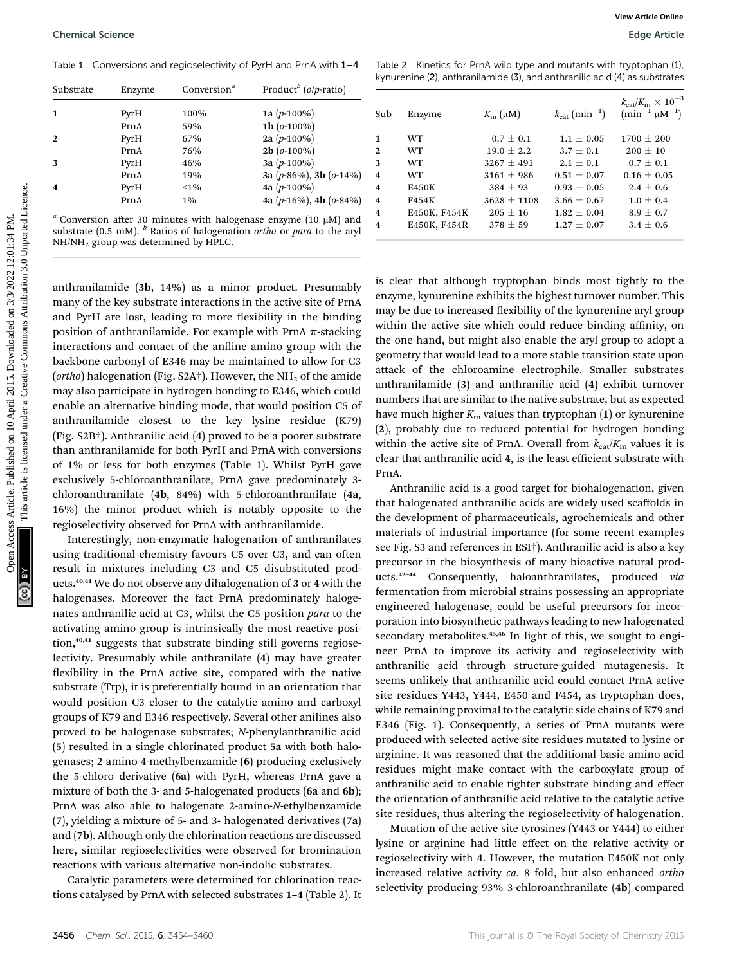Table 1 Conversions and regioselectivity of PyrH and PrnA with  $1-4$ 

| Substrate               | Enzyme | Conversion <sup>a</sup> | Product <sup>b</sup> ( $o/p$ -ratio) |
|-------------------------|--------|-------------------------|--------------------------------------|
| 1                       | PyrH   | 100%                    | 1a $(p-100\%)$                       |
|                         | PrnA   | 59%                     | 1b $(o-100\%)$                       |
| $\mathbf{2}$            | PyrH   | 67%                     | 2a $(p-100\%)$                       |
|                         | PrnA   | 76%                     | $2b$ ( $o$ -100%)                    |
| 3                       | PyrH   | 46%                     | 3a $(p-100\%)$                       |
|                         | PrnA   | 19%                     | 3a (p-86%), 3b (o-14%)               |
| $\overline{\mathbf{4}}$ | PyrH   | $< 1\%$                 | 4a $(p-100\%)$                       |
|                         | PrnA   | $1\%$                   | 4a (p-16%), 4b (o-84%)               |
|                         |        |                         |                                      |

<sup>a</sup> Conversion after 30 minutes with halogenase enzyme (10  $\mu$ M) and substrate (0.5 mM).  $<sup>b</sup>$  Ratios of halogenation *ortho* or *para* to the aryl</sup> NH/NH2 group was determined by HPLC.

anthranilamide (3b, 14%) as a minor product. Presumably many of the key substrate interactions in the active site of PrnA and PyrH are lost, leading to more flexibility in the binding position of anthranilamide. For example with PrnA  $\pi$ -stacking interactions and contact of the aniline amino group with the backbone carbonyl of E346 may be maintained to allow for C3 (ortho) halogenation (Fig. S2A†). However, the NH<sub>2</sub> of the amide may also participate in hydrogen bonding to E346, which could enable an alternative binding mode, that would position C5 of anthranilamide closest to the key lysine residue (K79) (Fig. S2B†). Anthranilic acid (4) proved to be a poorer substrate than anthranilamide for both PyrH and PrnA with conversions of 1% or less for both enzymes (Table 1). Whilst PyrH gave exclusively 5-chloroanthranilate, PrnA gave predominately 3 chloroanthranilate (4b, 84%) with 5-chloroanthranilate (4a, 16%) the minor product which is notably opposite to the regioselectivity observed for PrnA with anthranilamide. Openical Science<br>
Table 1. Conversion and regionescivity of Pyll and Priv, with the 11 April 2022 12:01:24 PM. Notice in the state of the state of the state of the state of the state of the state of the state of the state

Interestingly, non-enzymatic halogenation of anthranilates using traditional chemistry favours C5 over C3, and can often result in mixtures including C3 and C5 disubstituted products.40,41 We do not observe any dihalogenation of 3 or 4 with the halogenases. Moreover the fact PrnA predominately halogenates anthranilic acid at C3, whilst the C5 position para to the activating amino group is intrinsically the most reactive position,<sup>40,41</sup> suggests that substrate binding still governs regioselectivity. Presumably while anthranilate (4) may have greater flexibility in the PrnA active site, compared with the native substrate (Trp), it is preferentially bound in an orientation that would position C3 closer to the catalytic amino and carboxyl groups of K79 and E346 respectively. Several other anilines also proved to be halogenase substrates; N-phenylanthranilic acid (5) resulted in a single chlorinated product 5a with both halogenases; 2-amino-4-methylbenzamide (6) producing exclusively the 5-chloro derivative (6a) with PyrH, whereas PrnA gave a mixture of both the 3- and 5-halogenated products (6a and 6b); PrnA was also able to halogenate 2-amino-N-ethylbenzamide (7), yielding a mixture of 5- and 3- halogenated derivatives (7a) and (7b). Although only the chlorination reactions are discussed here, similar regioselectivities were observed for bromination reactions with various alternative non-indolic substrates.

Catalytic parameters were determined for chlorination reactions catalysed by PrnA with selected substrates 1–4 (Table 2). It

| kynurenine (2), anthranilamide (3), and anthranilic acid (4) as substrates |        |                  |                                       |                                                                    |  |  |  |
|----------------------------------------------------------------------------|--------|------------------|---------------------------------------|--------------------------------------------------------------------|--|--|--|
| Sub                                                                        | Enzyme | $K_{\rm m}$ (µM) | $k_{\text{cat}}$ (min <sup>-1</sup> ) | $k_{\rm cat}/K_{\rm m} \times 10^{-3}$<br>$(\min^{-1} \mu M^{-1})$ |  |  |  |
| 1                                                                          | WT     | $0.7 \pm 0.1$    | $1.1 \pm 0.05$                        | $1700 \pm 200$                                                     |  |  |  |
| 2.                                                                         | WT.    | $19.0 + 2.2$     | $3.7 + 0.1$                           | $200 + 10$                                                         |  |  |  |

Table 2 Kinetics for PrnA wild type and mutants with tryptophan (1),

| 1            | WT.          | $0.7 \pm 0.1$   | $1.1 \pm 0.05$  | $1700 \pm 200$  |  |
|--------------|--------------|-----------------|-----------------|-----------------|--|
| $\mathbf{2}$ | WT           | $19.0 \pm 2.2$  | $3.7 \pm 0.1$   | $200 \pm 10$    |  |
| 3            | WT.          | $3267 \pm 491$  | $2.1 \pm 0.1$   | $0.7 \pm 0.1$   |  |
| 4            | WT.          | $3161 \pm 986$  | $0.51 \pm 0.07$ | $0.16 \pm 0.05$ |  |
| 4            | <b>E450K</b> | $384 \pm 93$    | $0.93 \pm 0.05$ | $2.4 \pm 0.6$   |  |
| 4            | F454K        | $3628 \pm 1108$ | $3.66 \pm 0.67$ | $1.0 \pm 0.4$   |  |
| 4            | E450K, F454K | $205 \pm 16$    | $1.82 \pm 0.04$ | $8.9 \pm 0.7$   |  |
| 4            | E450K, F454R | $378 \pm 59$    | $1.27 \pm 0.07$ | $3.4 \pm 0.6$   |  |
|              |              |                 |                 |                 |  |

is clear that although tryptophan binds most tightly to the enzyme, kynurenine exhibits the highest turnover number. This may be due to increased flexibility of the kynurenine aryl group within the active site which could reduce binding affinity, on the one hand, but might also enable the aryl group to adopt a geometry that would lead to a more stable transition state upon attack of the chloroamine electrophile. Smaller substrates anthranilamide (3) and anthranilic acid (4) exhibit turnover numbers that are similar to the native substrate, but as expected have much higher  $K<sub>m</sub>$  values than tryptophan (1) or kynurenine (2), probably due to reduced potential for hydrogen bonding within the active site of PrnA. Overall from  $k_{cat}/K_m$  values it is clear that anthranilic acid 4, is the least efficient substrate with PrnA.

Anthranilic acid is a good target for biohalogenation, given that halogenated anthranilic acids are widely used scaffolds in the development of pharmaceuticals, agrochemicals and other materials of industrial importance (for some recent examples see Fig. S3 and references in ESI†). Anthranilic acid is also a key precursor in the biosynthesis of many bioactive natural products.<sup>42-44</sup> Consequently, haloanthranilates, produced via fermentation from microbial strains possessing an appropriate engineered halogenase, could be useful precursors for incorporation into biosynthetic pathways leading to new halogenated secondary metabolites.<sup>45,46</sup> In light of this, we sought to engineer PrnA to improve its activity and regioselectivity with anthranilic acid through structure-guided mutagenesis. It seems unlikely that anthranilic acid could contact PrnA active site residues Y443, Y444, E450 and F454, as tryptophan does, while remaining proximal to the catalytic side chains of K79 and E346 (Fig. 1). Consequently, a series of PrnA mutants were produced with selected active site residues mutated to lysine or arginine. It was reasoned that the additional basic amino acid residues might make contact with the carboxylate group of anthranilic acid to enable tighter substrate binding and effect the orientation of anthranilic acid relative to the catalytic active site residues, thus altering the regioselectivity of halogenation.

Mutation of the active site tyrosines (Y443 or Y444) to either lysine or arginine had little effect on the relative activity or regioselectivity with 4. However, the mutation E450K not only increased relative activity ca. 8 fold, but also enhanced ortho selectivity producing 93% 3-chloroanthranilate (4b) compared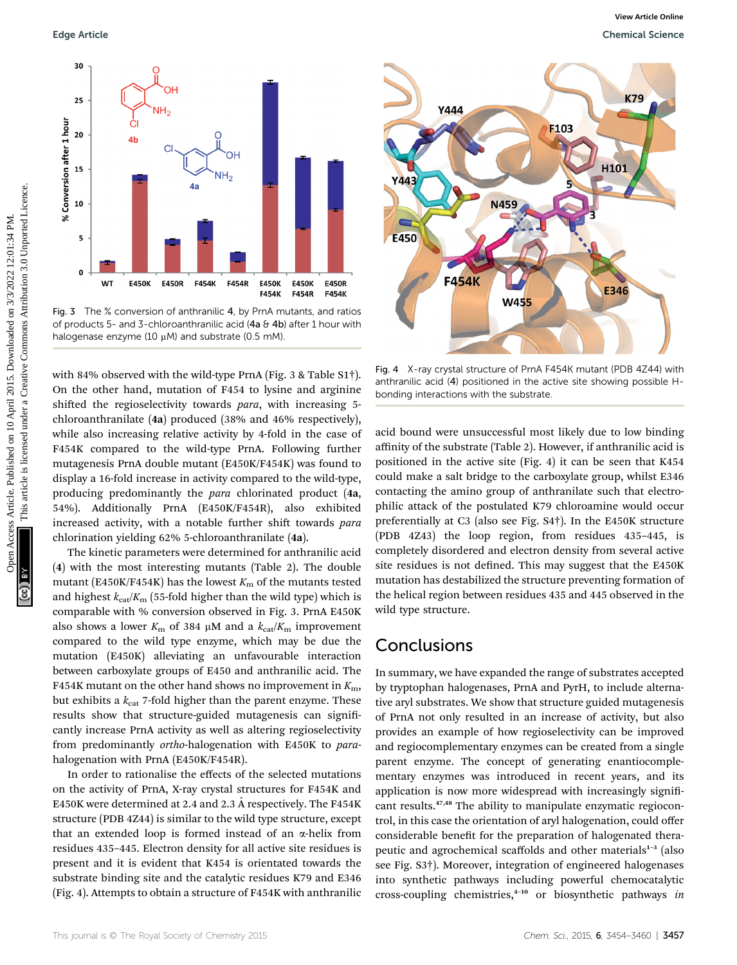

Fig. 3 The % conversion of anthranilic 4, by PrnA mutants, and ratios of products 5- and 3-chloroanthranilic acid (4a  $\theta$  4b) after 1 hour with halogenase enzyme (10  $\mu$ M) and substrate (0.5 mM).

with 84% observed with the wild-type PrnA (Fig. 3 & Table S1†). On the other hand, mutation of F454 to lysine and arginine shifted the regioselectivity towards para, with increasing 5chloroanthranilate (4a) produced (38% and 46% respectively), while also increasing relative activity by 4-fold in the case of F454K compared to the wild-type PrnA. Following further mutagenesis PrnA double mutant (E450K/F454K) was found to display a 16-fold increase in activity compared to the wild-type, producing predominantly the para chlorinated product (4a, 54%). Additionally PrnA (E450K/F454R), also exhibited increased activity, with a notable further shift towards para chlorination yielding 62% 5-chloroanthranilate (4a).

The kinetic parameters were determined for anthranilic acid (4) with the most interesting mutants (Table 2). The double mutant (E450K/F454K) has the lowest  $K<sub>m</sub>$  of the mutants tested and highest  $k_{\text{cat}}/K_{\text{m}}$  (55-fold higher than the wild type) which is comparable with % conversion observed in Fig. 3. PrnA E450K also shows a lower  $K_m$  of 384  $\mu$ M and a  $k_{cat}/K_m$  improvement compared to the wild type enzyme, which may be due the mutation (E450K) alleviating an unfavourable interaction between carboxylate groups of E450 and anthranilic acid. The F454K mutant on the other hand shows no improvement in  $K<sub>m</sub>$ , but exhibits a  $k_{cat}$  7-fold higher than the parent enzyme. These results show that structure-guided mutagenesis can significantly increase PrnA activity as well as altering regioselectivity from predominantly ortho-halogenation with E450K to parahalogenation with PrnA (E450K/F454R).

In order to rationalise the effects of the selected mutations on the activity of PrnA, X-ray crystal structures for F454K and E450K were determined at 2.4 and 2.3  $\AA$  respectively. The F454K structure (PDB 4Z44) is similar to the wild type structure, except that an extended loop is formed instead of an a-helix from residues 435–445. Electron density for all active site residues is present and it is evident that K454 is orientated towards the substrate binding site and the catalytic residues K79 and E346 (Fig. 4). Attempts to obtain a structure of F454K with anthranilic



Fig. 4 X-ray crystal structure of PrnA F454K mutant (PDB 4Z44) with anthranilic acid (4) positioned in the active site showing possible Hbonding interactions with the substrate.

acid bound were unsuccessful most likely due to low binding affinity of the substrate (Table 2). However, if anthranilic acid is positioned in the active site (Fig. 4) it can be seen that K454 could make a salt bridge to the carboxylate group, whilst E346 contacting the amino group of anthranilate such that electrophilic attack of the postulated K79 chloroamine would occur preferentially at C3 (also see Fig. S4†). In the E450K structure (PDB 4Z43) the loop region, from residues 435–445, is completely disordered and electron density from several active site residues is not defined. This may suggest that the E450K mutation has destabilized the structure preventing formation of the helical region between residues 435 and 445 observed in the wild type structure.

### Conclusions

In summary, we have expanded the range of substrates accepted by tryptophan halogenases, PrnA and PyrH, to include alternative aryl substrates. We show that structure guided mutagenesis of PrnA not only resulted in an increase of activity, but also provides an example of how regioselectivity can be improved and regiocomplementary enzymes can be created from a single parent enzyme. The concept of generating enantiocomplementary enzymes was introduced in recent years, and its application is now more widespread with increasingly significant results.47,48 The ability to manipulate enzymatic regiocontrol, in this case the orientation of aryl halogenation, could offer considerable benefit for the preparation of halogenated therapeutic and agrochemical scaffolds and other materials<sup>1-3</sup> (also see Fig. S3†). Moreover, integration of engineered halogenases into synthetic pathways including powerful chemocatalytic cross-coupling chemistries,<sup>4-10</sup> or biosynthetic pathways in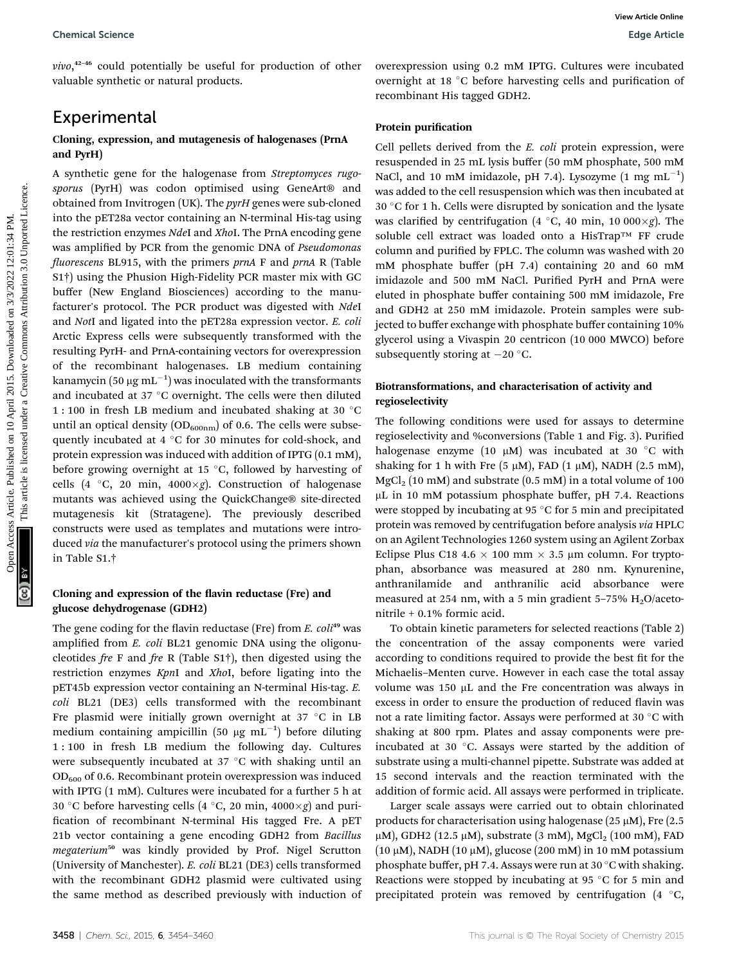vivo,<sup>42-46</sup> could potentially be useful for production of other valuable synthetic or natural products.

### Experimental

#### Cloning, expression, and mutagenesis of halogenases (PrnA and PyrH)

A synthetic gene for the halogenase from Streptomyces rugosporus (PyrH) was codon optimised using GeneArt<sup>®</sup> and obtained from Invitrogen (UK). The pyrH genes were sub-cloned into the pET28a vector containing an N-terminal His-tag using the restriction enzymes NdeI and XhoI. The PrnA encoding gene was amplified by PCR from the genomic DNA of Pseudomonas fluorescens BL915, with the primers  $prnA$  F and  $prnA$  R (Table S1†) using the Phusion High-Fidelity PCR master mix with GC buffer (New England Biosciences) according to the manufacturer's protocol. The PCR product was digested with NdeI and NotI and ligated into the pET28a expression vector. E. coli Arctic Express cells were subsequently transformed with the resulting PyrH- and PrnA-containing vectors for overexpression of the recombinant halogenases. LB medium containing kanamycin (50  $\mu{\rm g}\,{\rm mL}^{-1})$  was inoculated with the transformants and incubated at  $37 °C$  overnight. The cells were then diluted 1:100 in fresh LB medium and incubated shaking at 30 °C until an optical density  $OD_{600nm}$  of 0.6. The cells were subsequently incubated at  $4 \degree C$  for 30 minutes for cold-shock, and protein expression was induced with addition of IPTG (0.1 mM), before growing overnight at 15  $\degree$ C, followed by harvesting of cells (4  $\degree$ C, 20 min, 4000×g). Construction of halogenase mutants was achieved using the QuickChange® site-directed mutagenesis kit (Stratagene). The previously described constructs were used as templates and mutations were introduced via the manufacturer's protocol using the primers shown in Table S1.† Chemical Science<br>
View  $^{0.4}$  Could putertially be useful for production of other onerreported or the control on the control or the control of the set of the control of the set of the control of the set of the set of the

#### Cloning and expression of the flavin reductase (Fre) and glucose dehydrogenase (GDH2)

The gene coding for the flavin reductase (Fre) from  $E.$   $coll<sup>49</sup>$  was amplified from E. coli BL21 genomic DNA using the oligonucleotides fre F and fre R (Table S1†), then digested using the restriction enzymes KpnI and XhoI, before ligating into the pET45b expression vector containing an N-terminal His-tag. E. coli BL21 (DE3) cells transformed with the recombinant Fre plasmid were initially grown overnight at 37  $^{\circ}$ C in LB medium containing ampicillin (50  $\mu$ g mL $^{-1}$ ) before diluting 1 : 100 in fresh LB medium the following day. Cultures were subsequently incubated at  $37^{\circ}$ C with shaking until an OD600 of 0.6. Recombinant protein overexpression was induced with IPTG (1 mM). Cultures were incubated for a further 5 h at 30 °C before harvesting cells (4 °C, 20 min, 4000 $\times$ g) and purification of recombinant N-terminal His tagged Fre. A pET 21b vector containing a gene encoding GDH2 from Bacillus megaterium<sup>50</sup> was kindly provided by Prof. Nigel Scrutton (University of Manchester). E. coli BL21 (DE3) cells transformed with the recombinant GDH2 plasmid were cultivated using the same method as described previously with induction of overexpression using 0.2 mM IPTG. Cultures were incubated overnight at 18 °C before harvesting cells and purification of recombinant His tagged GDH2.

#### Protein purification

Cell pellets derived from the E. coli protein expression, were resuspended in 25 mL lysis buffer (50 mM phosphate, 500 mM NaCl, and 10 mM imidazole, pH 7.4). Lysozyme  $(1 \text{ mg } \text{mL}^{-1})$ was added to the cell resuspension which was then incubated at  $30 °C$  for 1 h. Cells were disrupted by sonication and the lysate was clarified by centrifugation (4 °C, 40 min, 10 000 $\times$ g). The soluble cell extract was loaded onto a HisTrap™ FF crude column and purified by FPLC. The column was washed with 20 mM phosphate buffer (pH 7.4) containing 20 and 60 mM imidazole and 500 mM NaCl. Purified PyrH and PrnA were eluted in phosphate buffer containing 500 mM imidazole, Fre and GDH2 at 250 mM imidazole. Protein samples were subjected to buffer exchange with phosphate buffer containing 10% glycerol using a Vivaspin 20 centricon (10 000 MWCO) before subsequently storing at  $-20$  °C.

#### Biotransformations, and characterisation of activity and regioselectivity

The following conditions were used for assays to determine regioselectivity and %conversions (Table 1 and Fig. 3). Purified halogenase enzyme (10  $\mu$ M) was incubated at 30 °C with shaking for 1 h with Fre  $(5 \mu M)$ , FAD  $(1 \mu M)$ , NADH  $(2.5 \text{ mM})$ ,  $MgCl<sub>2</sub>$  (10 mM) and substrate (0.5 mM) in a total volume of 100 µL in 10 mM potassium phosphate buffer, pH 7.4. Reactions were stopped by incubating at 95  $\degree$ C for 5 min and precipitated protein was removed by centrifugation before analysis via HPLC on an Agilent Technologies 1260 system using an Agilent Zorbax Eclipse Plus C18 4.6  $\times$  100 mm  $\times$  3.5 µm column. For tryptophan, absorbance was measured at 280 nm. Kynurenine, anthranilamide and anthranilic acid absorbance were measured at 254 nm, with a 5 min gradient 5-75%  $H<sub>2</sub>O/aceto$ nitrile + 0.1% formic acid.

To obtain kinetic parameters for selected reactions (Table 2) the concentration of the assay components were varied according to conditions required to provide the best fit for the Michaelis–Menten curve. However in each case the total assay volume was  $150 \mu L$  and the Fre concentration was always in excess in order to ensure the production of reduced flavin was not a rate limiting factor. Assays were performed at 30 °C with shaking at 800 rpm. Plates and assay components were preincubated at 30  $^{\circ}$ C. Assays were started by the addition of substrate using a multi-channel pipette. Substrate was added at 15 second intervals and the reaction terminated with the addition of formic acid. All assays were performed in triplicate.

Larger scale assays were carried out to obtain chlorinated products for characterisation using halogenase (25  $\mu$ M), Fre (2.5  $\mu$ M), GDH2 (12.5  $\mu$ M), substrate (3 mM), MgCl<sub>2</sub> (100 mM), FAD (10  $\mu$ M), NADH (10  $\mu$ M), glucose (200 mM) in 10 mM potassium phosphate buffer, pH 7.4. Assays were run at 30  $\degree$ C with shaking. Reactions were stopped by incubating at 95  $\degree$ C for 5 min and precipitated protein was removed by centrifugation  $(4 \degree C, 1)$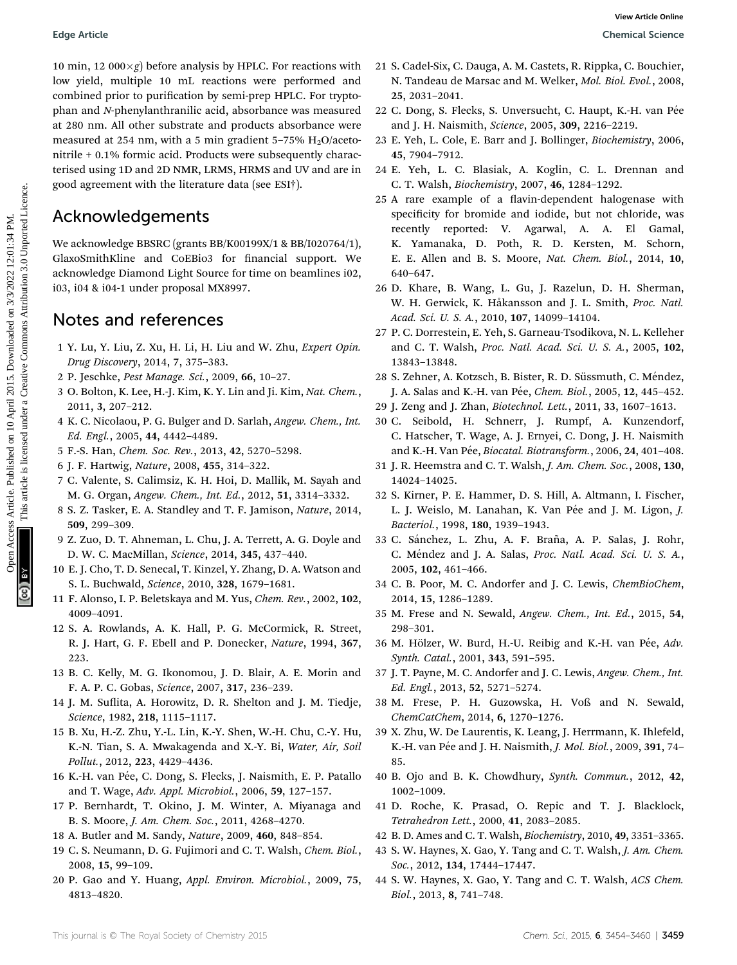10 min, 12 000 $\times$ g) before analysis by HPLC. For reactions with low yield, multiple 10 mL reactions were performed and combined prior to purification by semi-prep HPLC. For tryptophan and N-phenylanthranilic acid, absorbance was measured at 280 nm. All other substrate and products absorbance were measured at 254 nm, with a 5 min gradient  $5-75\%$  H<sub>2</sub>O/acetonitrile + 0.1% formic acid. Products were subsequently characterised using 1D and 2D NMR, LRMS, HRMS and UV and are in good agreement with the literature data (see ESI†). Edge Article<br>
10 April 2016 of multiple of a marked on the state of the state of the State Common Common Common Common Common Common Common Common Common Common Common Common Common Common Common Common Common Common Comm

## Acknowledgements

We acknowledge BBSRC (grants BB/K00199X/1 & BB/I020764/1), GlaxoSmithKline and CoEBio3 for financial support. We acknowledge Diamond Light Source for time on beamlines i02, i03, i04 & i04-1 under proposal MX8997.

## Notes and references

- 1 Y. Lu, Y. Liu, Z. Xu, H. Li, H. Liu and W. Zhu, Expert Opin. Drug Discovery, 2014, 7, 375–383.
- 2 P. Jeschke, Pest Manage. Sci., 2009, 66, 10–27.
- 3 O. Bolton, K. Lee, H.-J. Kim, K. Y. Lin and Ji. Kim, Nat. Chem., 2011, 3, 207–212.
- 4 K. C. Nicolaou, P. G. Bulger and D. Sarlah, Angew. Chem., Int. Ed. Engl., 2005, 44, 4442–4489.
- 5 F.-S. Han, Chem. Soc. Rev., 2013, 42, 5270–5298.
- 6 J. F. Hartwig, Nature, 2008, 455, 314–322.
- 7 C. Valente, S. Calimsiz, K. H. Hoi, D. Mallik, M. Sayah and M. G. Organ, Angew. Chem., Int. Ed., 2012, 51, 3314–3332.
- 8 S. Z. Tasker, E. A. Standley and T. F. Jamison, Nature, 2014, 509, 299–309.
- 9 Z. Zuo, D. T. Ahneman, L. Chu, J. A. Terrett, A. G. Doyle and D. W. C. MacMillan, Science, 2014, 345, 437–440.
- 10 E. J. Cho, T. D. Senecal, T. Kinzel, Y. Zhang, D. A. Watson and S. L. Buchwald, Science, 2010, 328, 1679–1681.
- 11 F. Alonso, I. P. Beletskaya and M. Yus, Chem. Rev., 2002, 102, 4009–4091.
- 12 S. A. Rowlands, A. K. Hall, P. G. McCormick, R. Street, R. J. Hart, G. F. Ebell and P. Donecker, Nature, 1994, 367, 223.
- 13 B. C. Kelly, M. G. Ikonomou, J. D. Blair, A. E. Morin and F. A. P. C. Gobas, Science, 2007, 317, 236–239.
- 14 J. M. Suflita, A. Horowitz, D. R. Shelton and J. M. Tiedje, Science, 1982, 218, 1115–1117.
- 15 B. Xu, H.-Z. Zhu, Y.-L. Lin, K.-Y. Shen, W.-H. Chu, C.-Y. Hu, K.-N. Tian, S. A. Mwakagenda and X.-Y. Bi, Water, Air, Soil Pollut., 2012, 223, 4429–4436.
- 16 K.-H. van Pée, C. Dong, S. Flecks, J. Naismith, E. P. Patallo and T. Wage, Adv. Appl. Microbiol., 2006, 59, 127–157.
- 17 P. Bernhardt, T. Okino, J. M. Winter, A. Miyanaga and B. S. Moore, J. Am. Chem. Soc., 2011, 4268–4270.
- 18 A. Butler and M. Sandy, Nature, 2009, 460, 848–854.
- 19 C. S. Neumann, D. G. Fujimori and C. T. Walsh, Chem. Biol., 2008, 15, 99–109.
- 20 P. Gao and Y. Huang, Appl. Environ. Microbiol., 2009, 75, 4813–4820.
- 21 S. Cadel-Six, C. Dauga, A. M. Castets, R. Rippka, C. Bouchier, N. Tandeau de Marsac and M. Welker, Mol. Biol. Evol., 2008, 25, 2031–2041.
- 22 C. Dong, S. Flecks, S. Unversucht, C. Haupt, K.-H. van Pée and J. H. Naismith, Science, 2005, 309, 2216–2219.
- 23 E. Yeh, L. Cole, E. Barr and J. Bollinger, Biochemistry, 2006, 45, 7904–7912.
- 24 E. Yeh, L. C. Blasiak, A. Koglin, C. L. Drennan and C. T. Walsh, Biochemistry, 2007, 46, 1284–1292.
- 25 A rare example of a flavin-dependent halogenase with specificity for bromide and iodide, but not chloride, was recently reported: V. Agarwal, A. A. El Gamal, K. Yamanaka, D. Poth, R. D. Kersten, M. Schorn, E. E. Allen and B. S. Moore, Nat. Chem. Biol., 2014, 10, 640–647.
- 26 D. Khare, B. Wang, L. Gu, J. Razelun, D. H. Sherman, W. H. Gerwick, K. Håkansson and J. L. Smith, Proc. Natl. Acad. Sci. U. S. A., 2010, 107, 14099–14104.
- 27 P. C. Dorrestein, E. Yeh, S. Garneau-Tsodikova, N. L. Kelleher and C. T. Walsh, Proc. Natl. Acad. Sci. U. S. A., 2005, 102, 13843–13848.
- 28 S. Zehner, A. Kotzsch, B. Bister, R. D. Süssmuth, C. Méndez, J. A. Salas and K.-H. van Pée, Chem. Biol., 2005, 12, 445-452.
- 29 J. Zeng and J. Zhan, Biotechnol. Lett., 2011, 33, 1607–1613.
- 30 C. Seibold, H. Schnerr, J. Rumpf, A. Kunzendorf, C. Hatscher, T. Wage, A. J. Ernyei, C. Dong, J. H. Naismith and K.-H. Van Pée, Biocatal. Biotransform., 2006, 24, 401-408.
- 31 J. R. Heemstra and C. T. Walsh, J. Am. Chem. Soc., 2008, 130, 14024–14025.
- 32 S. Kirner, P. E. Hammer, D. S. Hill, A. Altmann, I. Fischer, L. J. Weislo, M. Lanahan, K. Van Pée and J. M. Ligon, J. Bacteriol., 1998, 180, 1939–1943.
- 33 C. Sánchez, L. Zhu, A. F. Braña, A. P. Salas, J. Rohr, C. Méndez and J. A. Salas, Proc. Natl. Acad. Sci. U. S. A., 2005, 102, 461–466.
- 34 C. B. Poor, M. C. Andorfer and J. C. Lewis, ChemBioChem, 2014, 15, 1286–1289.
- 35 M. Frese and N. Sewald, Angew. Chem., Int. Ed., 2015, 54, 298–301.
- 36 M. Hölzer, W. Burd, H.-U. Reibig and K.-H. van Pée, Adv. Synth. Catal., 2001, 343, 591–595.
- 37 J. T. Payne, M. C. Andorfer and J. C. Lewis, Angew. Chem., Int. Ed. Engl., 2013, 52, 5271–5274.
- 38 M. Frese, P. H. Guzowska, H. Voß and N. Sewald, ChemCatChem, 2014, 6, 1270–1276.
- 39 X. Zhu, W. De Laurentis, K. Leang, J. Herrmann, K. Ihlefeld, K.-H. van Pée and J. H. Naismith, J. Mol. Biol., 2009, 391, 74-85.
- 40 B. Ojo and B. K. Chowdhury, Synth. Commun., 2012, 42, 1002–1009.
- 41 D. Roche, K. Prasad, O. Repic and T. J. Blacklock, Tetrahedron Lett., 2000, 41, 2083–2085.
- 42 B. D. Ames and C. T. Walsh, Biochemistry, 2010, 49, 3351–3365.
- 43 S. W. Haynes, X. Gao, Y. Tang and C. T. Walsh, J. Am. Chem. Soc., 2012, 134, 17444–17447.
- 44 S. W. Haynes, X. Gao, Y. Tang and C. T. Walsh, ACS Chem. Biol., 2013, 8, 741–748.